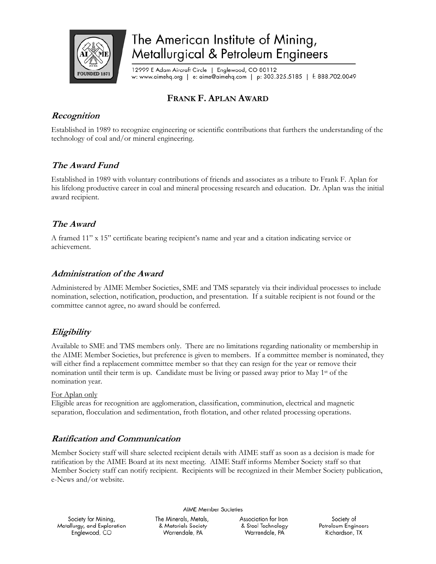

# The American Institute of Mining, Metallurgical & Petroleum Engineers

12999 E Adam Aircraft Circle | Englewood, CO 80112 w: www.aimehq.org | e: aime@aimehq.com | p: 303.325.5185 | f: 888.702.0049

# **FRANK F. APLAN AWARD**

## **Recognition**

Established in 1989 to recognize engineering or scientific contributions that furthers the understanding of the technology of coal and/or mineral engineering.

### **The Award Fund**

Established in 1989 with voluntary contributions of friends and associates as a tribute to Frank F. Aplan for his lifelong productive career in coal and mineral processing research and education. Dr. Aplan was the initial award recipient.

# **The Award**

A framed 11" x 15" certificate bearing recipient's name and year and a citation indicating service or achievement.

#### **Administration of the Award**

Administered by AIME Member Societies, SME and TMS separately via their individual processes to include nomination, selection, notification, production, and presentation. If a suitable recipient is not found or the committee cannot agree, no award should be conferred.

# **Eligibility**

Available to SME and TMS members only. There are no limitations regarding nationality or membership in the AIME Member Societies, but preference is given to members. If a committee member is nominated, they will either find a replacement committee member so that they can resign for the year or remove their nomination until their term is up. Candidate must be living or passed away prior to May 1st of the nomination year.

#### For Aplan only

Eligible areas for recognition are agglomeration, classification, comminution, electrical and magnetic separation, flocculation and sedimentation, froth flotation, and other related processing operations.

#### **Ratification and Communication**

Member Society staff will share selected recipient details with AIME staff as soon as a decision is made for ratification by the AIME Board at its next meeting. AIME Staff informs Member Society staff so that Member Society staff can notify recipient. Recipients will be recognized in their Member Society publication, e-News and/or website.

**AIME Member Societies** 

Society for Mining, Metallurgy, and Exploration Englewood, CO

The Minerals, Metals, & Materials Society Warrendale, PA

Association for Iron & Steel Technology Warrendale, PA

Society of Petroleum Engineers Richardson, TX